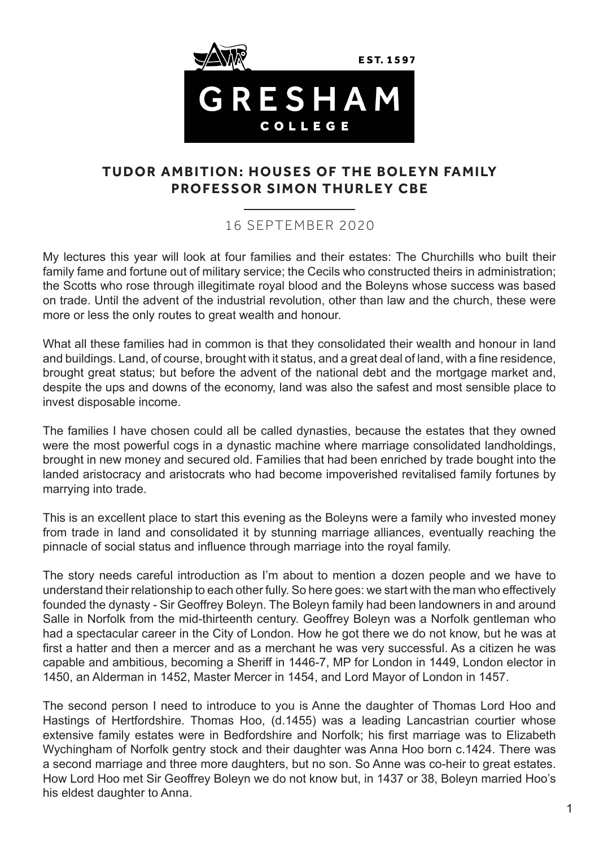

## **TUDOR AMBITION: HOUSES OF THE BOLEYN FAMILY PROFESSOR SIMON THURLEY CBE**

## 16 SEPTEMBER 2020

My lectures this year will look at four families and their estates: The Churchills who built their family fame and fortune out of military service; the Cecils who constructed theirs in administration; the Scotts who rose through illegitimate royal blood and the Boleyns whose success was based on trade. Until the advent of the industrial revolution, other than law and the church, these were more or less the only routes to great wealth and honour.

What all these families had in common is that they consolidated their wealth and honour in land and buildings. Land, of course, brought with it status, and a great deal of land, with a fine residence, brought great status; but before the advent of the national debt and the mortgage market and, despite the ups and downs of the economy, land was also the safest and most sensible place to invest disposable income.

The families I have chosen could all be called dynasties, because the estates that they owned were the most powerful cogs in a dynastic machine where marriage consolidated landholdings, brought in new money and secured old. Families that had been enriched by trade bought into the landed aristocracy and aristocrats who had become impoverished revitalised family fortunes by marrying into trade.

This is an excellent place to start this evening as the Boleyns were a family who invested money from trade in land and consolidated it by stunning marriage alliances, eventually reaching the pinnacle of social status and influence through marriage into the royal family.

The story needs careful introduction as I'm about to mention a dozen people and we have to understand their relationship to each other fully. So here goes: we start with the man who effectively founded the dynasty - Sir Geoffrey Boleyn. The Boleyn family had been landowners in and around Salle in Norfolk from the mid-thirteenth century. Geoffrey Boleyn was a Norfolk gentleman who had a spectacular career in the City of London. How he got there we do not know, but he was at first a hatter and then a mercer and as a merchant he was very successful. As a citizen he was capable and ambitious, becoming a Sheriff in 1446-7, MP for London in 1449, London elector in 1450, an Alderman in 1452, Master Mercer in 1454, and Lord Mayor of London in 1457.

The second person I need to introduce to you is Anne the daughter of Thomas Lord Hoo and Hastings of Hertfordshire. Thomas Hoo, (d.1455) was a leading Lancastrian courtier whose extensive family estates were in Bedfordshire and Norfolk; his first marriage was to Elizabeth Wychingham of Norfolk gentry stock and their daughter was Anna Hoo born c.1424. There was a second marriage and three more daughters, but no son. So Anne was co-heir to great estates. How Lord Hoo met Sir Geoffrey Boleyn we do not know but, in 1437 or 38, Boleyn married Hoo's his eldest daughter to Anna.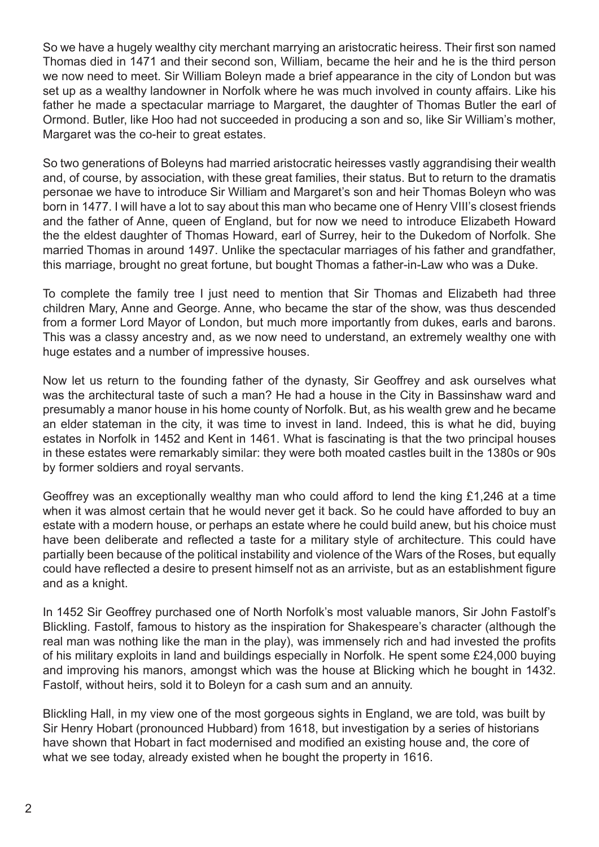So we have a hugely wealthy city merchant marrying an aristocratic heiress. Their first son named Thomas died in 1471 and their second son, William, became the heir and he is the third person we now need to meet. Sir William Boleyn made a brief appearance in the city of London but was set up as a wealthy landowner in Norfolk where he was much involved in county affairs. Like his father he made a spectacular marriage to Margaret, the daughter of Thomas Butler the earl of Ormond. Butler, like Hoo had not succeeded in producing a son and so, like Sir William's mother, Margaret was the co-heir to great estates.

So two generations of Boleyns had married aristocratic heiresses vastly aggrandising their wealth and, of course, by association, with these great families, their status. But to return to the dramatis personae we have to introduce Sir William and Margaret's son and heir Thomas Boleyn who was born in 1477. I will have a lot to say about this man who became one of Henry VIII's closest friends and the father of Anne, queen of England, but for now we need to introduce Elizabeth Howard the the eldest daughter of Thomas Howard, earl of Surrey, heir to the Dukedom of Norfolk. She married Thomas in around 1497. Unlike the spectacular marriages of his father and grandfather, this marriage, brought no great fortune, but bought Thomas a father-in-Law who was a Duke.

To complete the family tree I just need to mention that Sir Thomas and Elizabeth had three children Mary, Anne and George. Anne, who became the star of the show, was thus descended from a former Lord Mayor of London, but much more importantly from dukes, earls and barons. This was a classy ancestry and, as we now need to understand, an extremely wealthy one with huge estates and a number of impressive houses.

Now let us return to the founding father of the dynasty, Sir Geoffrey and ask ourselves what was the architectural taste of such a man? He had a house in the City in Bassinshaw ward and presumably a manor house in his home county of Norfolk. But, as his wealth grew and he became an elder stateman in the city, it was time to invest in land. Indeed, this is what he did, buying estates in Norfolk in 1452 and Kent in 1461. What is fascinating is that the two principal houses in these estates were remarkably similar: they were both moated castles built in the 1380s or 90s by former soldiers and royal servants.

Geoffrey was an exceptionally wealthy man who could afford to lend the king £1,246 at a time when it was almost certain that he would never get it back. So he could have afforded to buy an estate with a modern house, or perhaps an estate where he could build anew, but his choice must have been deliberate and reflected a taste for a military style of architecture. This could have partially been because of the political instability and violence of the Wars of the Roses, but equally could have reflected a desire to present himself not as an arriviste, but as an establishment figure and as a knight.

In 1452 Sir Geoffrey purchased one of North Norfolk's most valuable manors, Sir John Fastolf's Blickling. Fastolf, famous to history as the inspiration for Shakespeare's character (although the real man was nothing like the man in the play), was immensely rich and had invested the profits of his military exploits in land and buildings especially in Norfolk. He spent some £24,000 buying and improving his manors, amongst which was the house at Blicking which he bought in 1432. Fastolf, without heirs, sold it to Boleyn for a cash sum and an annuity.

Blickling Hall, in my view one of the most gorgeous sights in England, we are told, was built by Sir Henry Hobart (pronounced Hubbard) from 1618, but investigation by a series of historians have shown that Hobart in fact modernised and modified an existing house and, the core of what we see today, already existed when he bought the property in 1616.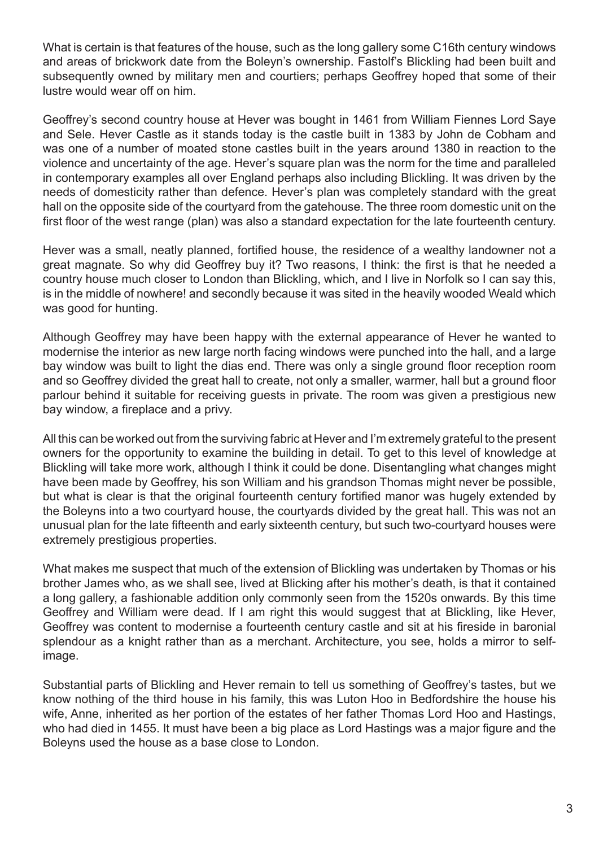What is certain is that features of the house, such as the long gallery some C16th century windows and areas of brickwork date from the Boleyn's ownership. Fastolf's Blickling had been built and subsequently owned by military men and courtiers; perhaps Geoffrey hoped that some of their lustre would wear off on him.

Geoffrey's second country house at Hever was bought in 1461 from William Fiennes Lord Saye and Sele. Hever Castle as it stands today is the castle built in 1383 by John de Cobham and was one of a number of moated stone castles built in the years around 1380 in reaction to the violence and uncertainty of the age. Hever's square plan was the norm for the time and paralleled in contemporary examples all over England perhaps also including Blickling. It was driven by the needs of domesticity rather than defence. Hever's plan was completely standard with the great hall on the opposite side of the courtyard from the gatehouse. The three room domestic unit on the first floor of the west range (plan) was also a standard expectation for the late fourteenth century.

Hever was a small, neatly planned, fortified house, the residence of a wealthy landowner not a great magnate. So why did Geoffrey buy it? Two reasons, I think: the first is that he needed a country house much closer to London than Blickling, which, and I live in Norfolk so I can say this, is in the middle of nowhere! and secondly because it was sited in the heavily wooded Weald which was good for hunting.

Although Geoffrey may have been happy with the external appearance of Hever he wanted to modernise the interior as new large north facing windows were punched into the hall, and a large bay window was built to light the dias end. There was only a single ground floor reception room and so Geoffrey divided the great hall to create, not only a smaller, warmer, hall but a ground floor parlour behind it suitable for receiving guests in private. The room was given a prestigious new bay window, a fireplace and a privy.

All this can be worked out from the surviving fabric at Hever and I'm extremely grateful to the present owners for the opportunity to examine the building in detail. To get to this level of knowledge at Blickling will take more work, although I think it could be done. Disentangling what changes might have been made by Geoffrey, his son William and his grandson Thomas might never be possible, but what is clear is that the original fourteenth century fortified manor was hugely extended by the Boleyns into a two courtyard house, the courtyards divided by the great hall. This was not an unusual plan for the late fifteenth and early sixteenth century, but such two-courtyard houses were extremely prestigious properties.

What makes me suspect that much of the extension of Blickling was undertaken by Thomas or his brother James who, as we shall see, lived at Blicking after his mother's death, is that it contained a long gallery, a fashionable addition only commonly seen from the 1520s onwards. By this time Geoffrey and William were dead. If I am right this would suggest that at Blickling, like Hever, Geoffrey was content to modernise a fourteenth century castle and sit at his fireside in baronial splendour as a knight rather than as a merchant. Architecture, you see, holds a mirror to selfimage.

Substantial parts of Blickling and Hever remain to tell us something of Geoffrey's tastes, but we know nothing of the third house in his family, this was Luton Hoo in Bedfordshire the house his wife, Anne, inherited as her portion of the estates of her father Thomas Lord Hoo and Hastings, who had died in 1455. It must have been a big place as Lord Hastings was a major figure and the Boleyns used the house as a base close to London.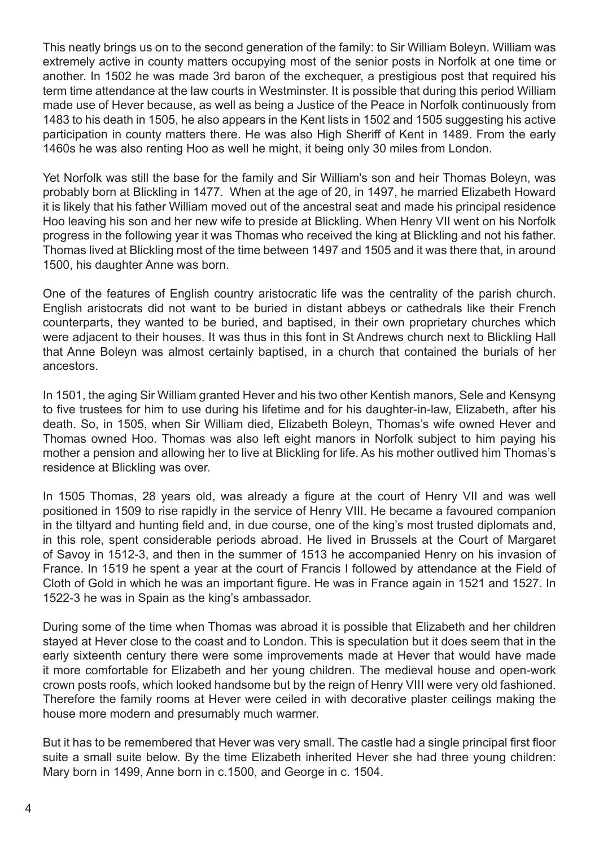This neatly brings us on to the second generation of the family: to Sir William Boleyn. William was extremely active in county matters occupying most of the senior posts in Norfolk at one time or another. In 1502 he was made 3rd baron of the exchequer, a prestigious post that required his term time attendance at the law courts in Westminster. It is possible that during this period William made use of Hever because, as well as being a Justice of the Peace in Norfolk continuously from 1483 to his death in 1505, he also appears in the Kent lists in 1502 and 1505 suggesting his active participation in county matters there. He was also High Sheriff of Kent in 1489. From the early 1460s he was also renting Hoo as well he might, it being only 30 miles from London.

Yet Norfolk was still the base for the family and Sir William's son and heir Thomas Boleyn, was probably born at Blickling in 1477. When at the age of 20, in 1497, he married Elizabeth Howard it is likely that his father William moved out of the ancestral seat and made his principal residence Hoo leaving his son and her new wife to preside at Blickling. When Henry VII went on his Norfolk progress in the following year it was Thomas who received the king at Blickling and not his father. Thomas lived at Blickling most of the time between 1497 and 1505 and it was there that, in around 1500, his daughter Anne was born.

One of the features of English country aristocratic life was the centrality of the parish church. English aristocrats did not want to be buried in distant abbeys or cathedrals like their French counterparts, they wanted to be buried, and baptised, in their own proprietary churches which were adjacent to their houses. It was thus in this font in St Andrews church next to Blickling Hall that Anne Boleyn was almost certainly baptised, in a church that contained the burials of her ancestors.

In 1501, the aging Sir William granted Hever and his two other Kentish manors, Sele and Kensyng to five trustees for him to use during his lifetime and for his daughter-in-law, Elizabeth, after his death. So, in 1505, when Sir William died, Elizabeth Boleyn, Thomas's wife owned Hever and Thomas owned Hoo. Thomas was also left eight manors in Norfolk subject to him paying his mother a pension and allowing her to live at Blickling for life. As his mother outlived him Thomas's residence at Blickling was over.

In 1505 Thomas, 28 years old, was already a figure at the court of Henry VII and was well positioned in 1509 to rise rapidly in the service of Henry VIII. He became a favoured companion in the tiltyard and hunting field and, in due course, one of the king's most trusted diplomats and, in this role, spent considerable periods abroad. He lived in Brussels at the Court of Margaret of Savoy in 1512-3, and then in the summer of 1513 he accompanied Henry on his invasion of France. In 1519 he spent a year at the court of Francis I followed by attendance at the Field of Cloth of Gold in which he was an important figure. He was in France again in 1521 and 1527. In 1522-3 he was in Spain as the king's ambassador.

During some of the time when Thomas was abroad it is possible that Elizabeth and her children stayed at Hever close to the coast and to London. This is speculation but it does seem that in the early sixteenth century there were some improvements made at Hever that would have made it more comfortable for Elizabeth and her young children. The medieval house and open-work crown posts roofs, which looked handsome but by the reign of Henry VIII were very old fashioned. Therefore the family rooms at Hever were ceiled in with decorative plaster ceilings making the house more modern and presumably much warmer.

But it has to be remembered that Hever was very small. The castle had a single principal first floor suite a small suite below. By the time Elizabeth inherited Hever she had three young children: Mary born in 1499, Anne born in c.1500, and George in c. 1504.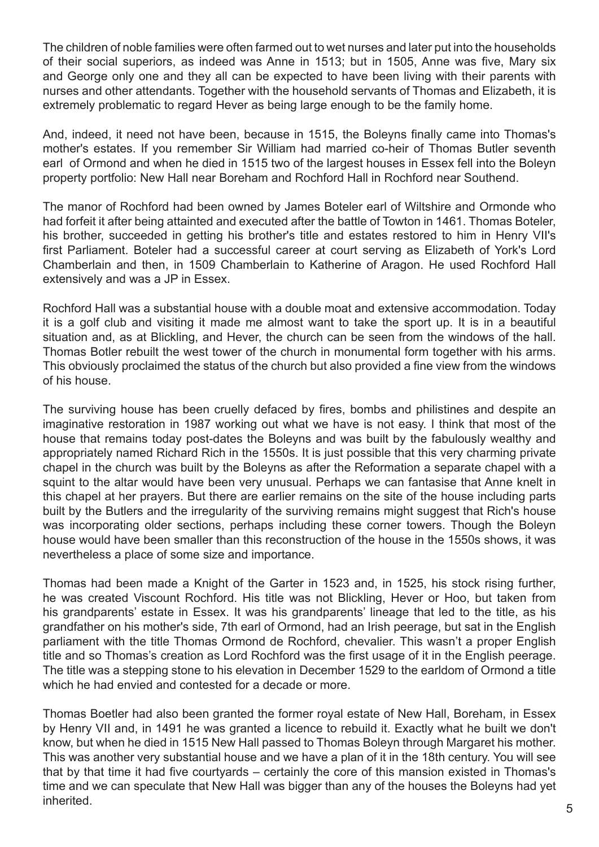The children of noble families were often farmed out to wet nurses and later put into the households of their social superiors, as indeed was Anne in 1513; but in 1505, Anne was five, Mary six and George only one and they all can be expected to have been living with their parents with nurses and other attendants. Together with the household servants of Thomas and Elizabeth, it is extremely problematic to regard Hever as being large enough to be the family home.

And, indeed, it need not have been, because in 1515, the Boleyns finally came into Thomas's mother's estates. If you remember Sir William had married co-heir of Thomas Butler seventh earl of Ormond and when he died in 1515 two of the largest houses in Essex fell into the Boleyn property portfolio: New Hall near Boreham and Rochford Hall in Rochford near Southend.

The manor of Rochford had been owned by James Boteler earl of Wiltshire and Ormonde who had forfeit it after being attainted and executed after the battle of Towton in 1461. Thomas Boteler, his brother, succeeded in getting his brother's title and estates restored to him in Henry VII's first Parliament. Boteler had a successful career at court serving as Elizabeth of York's Lord Chamberlain and then, in 1509 Chamberlain to Katherine of Aragon. He used Rochford Hall extensively and was a JP in Essex.

Rochford Hall was a substantial house with a double moat and extensive accommodation. Today it is a golf club and visiting it made me almost want to take the sport up. It is in a beautiful situation and, as at Blickling, and Hever, the church can be seen from the windows of the hall. Thomas Botler rebuilt the west tower of the church in monumental form together with his arms. This obviously proclaimed the status of the church but also provided a fine view from the windows of his house.

The surviving house has been cruelly defaced by fires, bombs and philistines and despite an imaginative restoration in 1987 working out what we have is not easy. I think that most of the house that remains today post-dates the Boleyns and was built by the fabulously wealthy and appropriately named Richard Rich in the 1550s. It is just possible that this very charming private chapel in the church was built by the Boleyns as after the Reformation a separate chapel with a squint to the altar would have been very unusual. Perhaps we can fantasise that Anne knelt in this chapel at her prayers. But there are earlier remains on the site of the house including parts built by the Butlers and the irregularity of the surviving remains might suggest that Rich's house was incorporating older sections, perhaps including these corner towers. Though the Boleyn house would have been smaller than this reconstruction of the house in the 1550s shows, it was nevertheless a place of some size and importance.

Thomas had been made a Knight of the Garter in 1523 and, in 1525, his stock rising further, he was created Viscount Rochford. His title was not Blickling, Hever or Hoo, but taken from his grandparents' estate in Essex. It was his grandparents' lineage that led to the title, as his grandfather on his mother's side, 7th earl of Ormond, had an Irish peerage, but sat in the English parliament with the title Thomas Ormond de Rochford, chevalier. This wasn't a proper English title and so Thomas's creation as Lord Rochford was the first usage of it in the English peerage. The title was a stepping stone to his elevation in December 1529 to the earldom of Ormond a title which he had envied and contested for a decade or more.

Thomas Boetler had also been granted the former royal estate of New Hall, Boreham, in Essex by Henry VII and, in 1491 he was granted a licence to rebuild it. Exactly what he built we don't know, but when he died in 1515 New Hall passed to Thomas Boleyn through Margaret his mother. This was another very substantial house and we have a plan of it in the 18th century. You will see that by that time it had five courtyards – certainly the core of this mansion existed in Thomas's time and we can speculate that New Hall was bigger than any of the houses the Boleyns had yet inherited.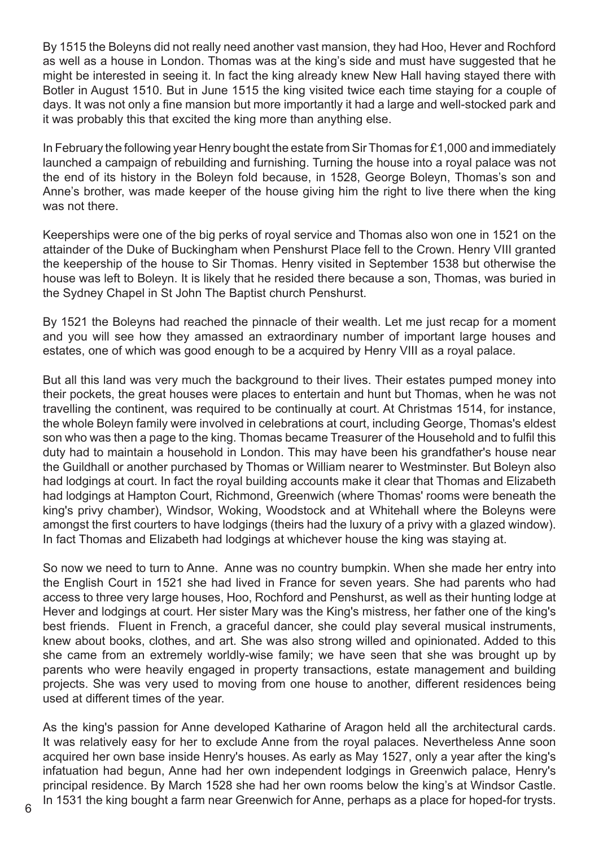By 1515 the Boleyns did not really need another vast mansion, they had Hoo, Hever and Rochford as well as a house in London. Thomas was at the king's side and must have suggested that he might be interested in seeing it. In fact the king already knew New Hall having stayed there with Botler in August 1510. But in June 1515 the king visited twice each time staying for a couple of days. It was not only a fine mansion but more importantly it had a large and well-stocked park and it was probably this that excited the king more than anything else.

In February the following year Henry bought the estate from Sir Thomas for £1,000 and immediately launched a campaign of rebuilding and furnishing. Turning the house into a royal palace was not the end of its history in the Boleyn fold because, in 1528, George Boleyn, Thomas's son and Anne's brother, was made keeper of the house giving him the right to live there when the king was not there.

Keeperships were one of the big perks of royal service and Thomas also won one in 1521 on the attainder of the Duke of Buckingham when Penshurst Place fell to the Crown. Henry VIII granted the keepership of the house to Sir Thomas. Henry visited in September 1538 but otherwise the house was left to Boleyn. It is likely that he resided there because a son, Thomas, was buried in the Sydney Chapel in St John The Baptist church Penshurst.

By 1521 the Boleyns had reached the pinnacle of their wealth. Let me just recap for a moment and you will see how they amassed an extraordinary number of important large houses and estates, one of which was good enough to be a acquired by Henry VIII as a royal palace.

But all this land was very much the background to their lives. Their estates pumped money into their pockets, the great houses were places to entertain and hunt but Thomas, when he was not travelling the continent, was required to be continually at court. At Christmas 1514, for instance, the whole Boleyn family were involved in celebrations at court, including George, Thomas's eldest son who was then a page to the king. Thomas became Treasurer of the Household and to fulfil this duty had to maintain a household in London. This may have been his grandfather's house near the Guildhall or another purchased by Thomas or William nearer to Westminster. But Boleyn also had lodgings at court. In fact the royal building accounts make it clear that Thomas and Elizabeth had lodgings at Hampton Court, Richmond, Greenwich (where Thomas' rooms were beneath the king's privy chamber), Windsor, Woking, Woodstock and at Whitehall where the Boleyns were amongst the first courters to have lodgings (theirs had the luxury of a privy with a glazed window). In fact Thomas and Elizabeth had lodgings at whichever house the king was staying at.

So now we need to turn to Anne. Anne was no country bumpkin. When she made her entry into the English Court in 1521 she had lived in France for seven years. She had parents who had access to three very large houses, Hoo, Rochford and Penshurst, as well as their hunting lodge at Hever and lodgings at court. Her sister Mary was the King's mistress, her father one of the king's best friends. Fluent in French, a graceful dancer, she could play several musical instruments, knew about books, clothes, and art. She was also strong willed and opinionated. Added to this she came from an extremely worldly-wise family; we have seen that she was brought up by parents who were heavily engaged in property transactions, estate management and building projects. She was very used to moving from one house to another, different residences being used at different times of the year.

As the king's passion for Anne developed Katharine of Aragon held all the architectural cards. It was relatively easy for her to exclude Anne from the royal palaces. Nevertheless Anne soon acquired her own base inside Henry's houses. As early as May 1527, only a year after the king's infatuation had begun, Anne had her own independent lodgings in Greenwich palace, Henry's principal residence. By March 1528 she had her own rooms below the king's at Windsor Castle. In 1531 the king bought a farm near Greenwich for Anne, perhaps as a place for hoped-for trysts.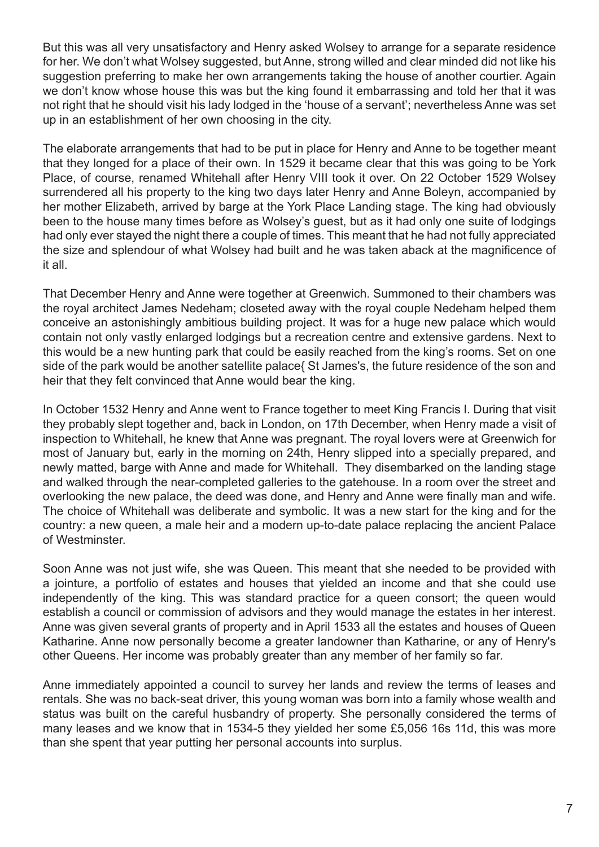But this was all very unsatisfactory and Henry asked Wolsey to arrange for a separate residence for her. We don't what Wolsey suggested, but Anne, strong willed and clear minded did not like his suggestion preferring to make her own arrangements taking the house of another courtier. Again we don't know whose house this was but the king found it embarrassing and told her that it was not right that he should visit his lady lodged in the 'house of a servant'; nevertheless Anne was set up in an establishment of her own choosing in the city.

The elaborate arrangements that had to be put in place for Henry and Anne to be together meant that they longed for a place of their own. In 1529 it became clear that this was going to be York Place, of course, renamed Whitehall after Henry VIII took it over. On 22 October 1529 Wolsey surrendered all his property to the king two days later Henry and Anne Boleyn, accompanied by her mother Elizabeth, arrived by barge at the York Place Landing stage. The king had obviously been to the house many times before as Wolsey's guest, but as it had only one suite of lodgings had only ever stayed the night there a couple of times. This meant that he had not fully appreciated the size and splendour of what Wolsey had built and he was taken aback at the magnificence of it all.

That December Henry and Anne were together at Greenwich. Summoned to their chambers was the royal architect James Nedeham; closeted away with the royal couple Nedeham helped them conceive an astonishingly ambitious building project. It was for a huge new palace which would contain not only vastly enlarged lodgings but a recreation centre and extensive gardens. Next to this would be a new hunting park that could be easily reached from the king's rooms. Set on one side of the park would be another satellite palace{ St James's, the future residence of the son and heir that they felt convinced that Anne would bear the king.

In October 1532 Henry and Anne went to France together to meet King Francis I. During that visit they probably slept together and, back in London, on 17th December, when Henry made a visit of inspection to Whitehall, he knew that Anne was pregnant. The royal lovers were at Greenwich for most of January but, early in the morning on 24th, Henry slipped into a specially prepared, and newly matted, barge with Anne and made for Whitehall. They disembarked on the landing stage and walked through the near-completed galleries to the gatehouse. In a room over the street and overlooking the new palace, the deed was done, and Henry and Anne were finally man and wife. The choice of Whitehall was deliberate and symbolic. It was a new start for the king and for the country: a new queen, a male heir and a modern up-to-date palace replacing the ancient Palace of Westminster.

Soon Anne was not just wife, she was Queen. This meant that she needed to be provided with a jointure, a portfolio of estates and houses that yielded an income and that she could use independently of the king. This was standard practice for a queen consort; the queen would establish a council or commission of advisors and they would manage the estates in her interest. Anne was given several grants of property and in April 1533 all the estates and houses of Queen Katharine. Anne now personally become a greater landowner than Katharine, or any of Henry's other Queens. Her income was probably greater than any member of her family so far.

Anne immediately appointed a council to survey her lands and review the terms of leases and rentals. She was no back-seat driver, this young woman was born into a family whose wealth and status was built on the careful husbandry of property. She personally considered the terms of many leases and we know that in 1534-5 they yielded her some £5,056 16s 11d, this was more than she spent that year putting her personal accounts into surplus.